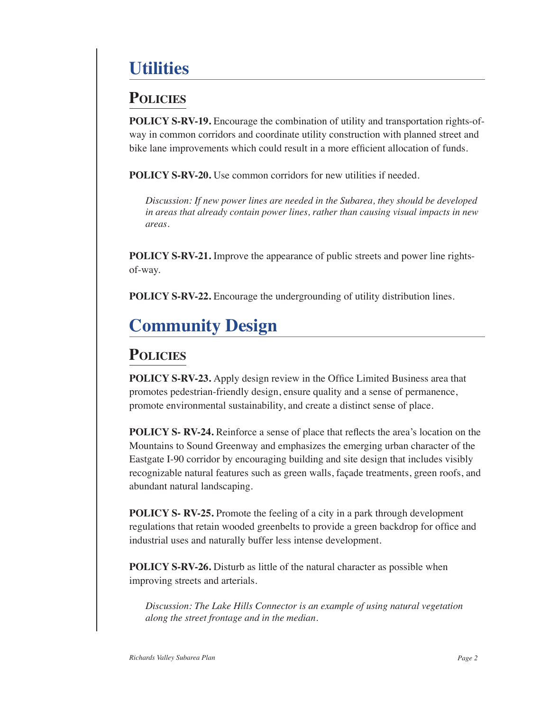## **Utilities**

## **Policies**

**POLICY S-RV-19.** Encourage the combination of utility and transportation rights-ofway in common corridors and coordinate utility construction with planned street and bike lane improvements which could result in a more efficient allocation of funds.

**POLICY S-RV-20.** Use common corridors for new utilities if needed.

*Discussion: If new power lines are needed in the Subarea, they should be developed in areas that already contain power lines, rather than causing visual impacts in new areas.*

**POLICY S-RV-21.** Improve the appearance of public streets and power line rightsof-way.

**POLICY S-RV-22.** Encourage the undergrounding of utility distribution lines.

## **Community Design**

## **Policies**

**POLICY S-RV-23.** Apply design review in the Office Limited Business area that promotes pedestrian-friendly design, ensure quality and a sense of permanence, promote environmental sustainability, and create a distinct sense of place.

**POLICY S- RV-24.** Reinforce a sense of place that reflects the area's location on the Mountains to Sound Greenway and emphasizes the emerging urban character of the Eastgate I-90 corridor by encouraging building and site design that includes visibly recognizable natural features such as green walls, façade treatments, green roofs, and abundant natural landscaping.

**POLICY S- RV-25.** Promote the feeling of a city in a park through development regulations that retain wooded greenbelts to provide a green backdrop for office and industrial uses and naturally buffer less intense development.

**POLICY S-RV-26.** Disturb as little of the natural character as possible when improving streets and arterials.

*Discussion: The Lake Hills Connector is an example of using natural vegetation along the street frontage and in the median.*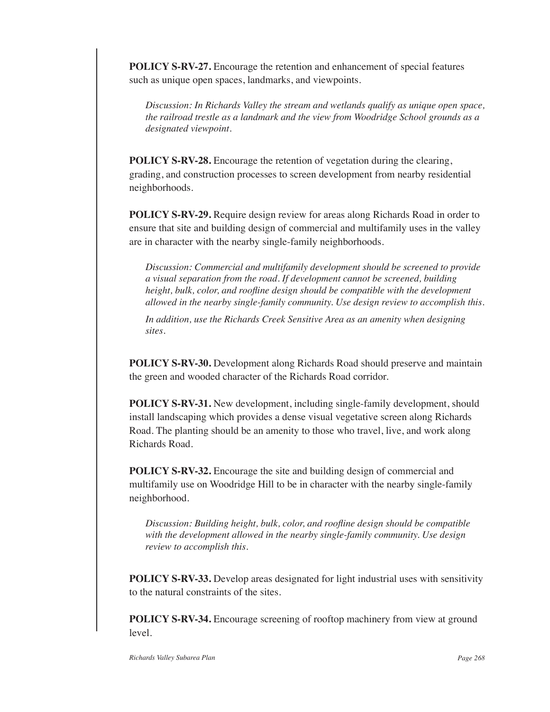**POLICY S-RV-27.** Encourage the retention and enhancement of special features such as unique open spaces, landmarks, and viewpoints.

*Discussion: In Richards Valley the stream and wetlands qualify as unique open space, the railroad trestle as a landmark and the view from Woodridge School grounds as a designated viewpoint.*

**POLICY S-RV-28.** Encourage the retention of vegetation during the clearing, grading, and construction processes to screen development from nearby residential neighborhoods.

**POLICY S-RV-29.** Require design review for areas along Richards Road in order to ensure that site and building design of commercial and multifamily uses in the valley are in character with the nearby single-family neighborhoods.

*Discussion: Commercial and multifamily development should be screened to provide a visual separation from the road. If development cannot be screened, building height, bulk, color, and roofline design should be compatible with the development allowed in the nearby single-family community. Use design review to accomplish this.*

*In addition, use the Richards Creek Sensitive Area as an amenity when designing sites.*

**POLICY S-RV-30.** Development along Richards Road should preserve and maintain the green and wooded character of the Richards Road corridor.

**POLICY S-RV-31.** New development, including single-family development, should install landscaping which provides a dense visual vegetative screen along Richards Road. The planting should be an amenity to those who travel, live, and work along Richards Road.

**POLICY S-RV-32.** Encourage the site and building design of commercial and multifamily use on Woodridge Hill to be in character with the nearby single-family neighborhood.

*Discussion: Building height, bulk, color, and roofline design should be compatible with the development allowed in the nearby single-family community. Use design review to accomplish this.*

**POLICY S-RV-33.** Develop areas designated for light industrial uses with sensitivity to the natural constraints of the sites.

**POLICY S-RV-34.** Encourage screening of rooftop machinery from view at ground level.